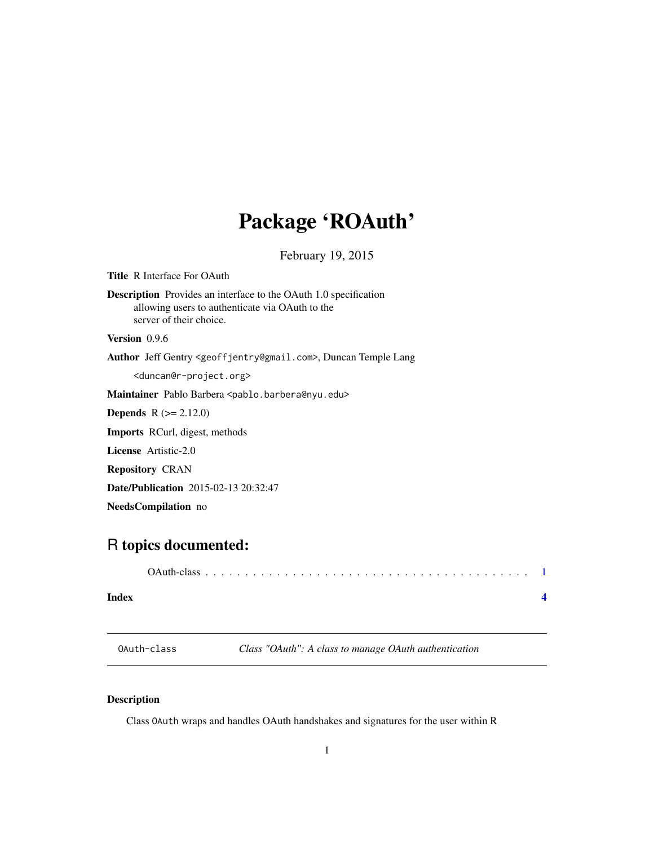## <span id="page-0-0"></span>Package 'ROAuth'

February 19, 2015

<span id="page-0-1"></span>Title R Interface For OAuth Description Provides an interface to the OAuth 1.0 specification allowing users to authenticate via OAuth to the server of their choice. Version 0.9.6 Author Jeff Gentry <geoffjentry@gmail.com>, Duncan Temple Lang <duncan@r-project.org> Maintainer Pablo Barbera <pablo.barbera@nyu.edu> **Depends**  $R (= 2.12.0)$ Imports RCurl, digest, methods License Artistic-2.0 Repository CRAN Date/Publication 2015-02-13 20:32:47

NeedsCompilation no

### R topics documented:

| Index |  |  |  |  |  |  |  |  |  |  |  |  |  |  |
|-------|--|--|--|--|--|--|--|--|--|--|--|--|--|--|

OAuth-class *Class "OAuth": A class to manage OAuth authentication*

#### Description

Class OAuth wraps and handles OAuth handshakes and signatures for the user within R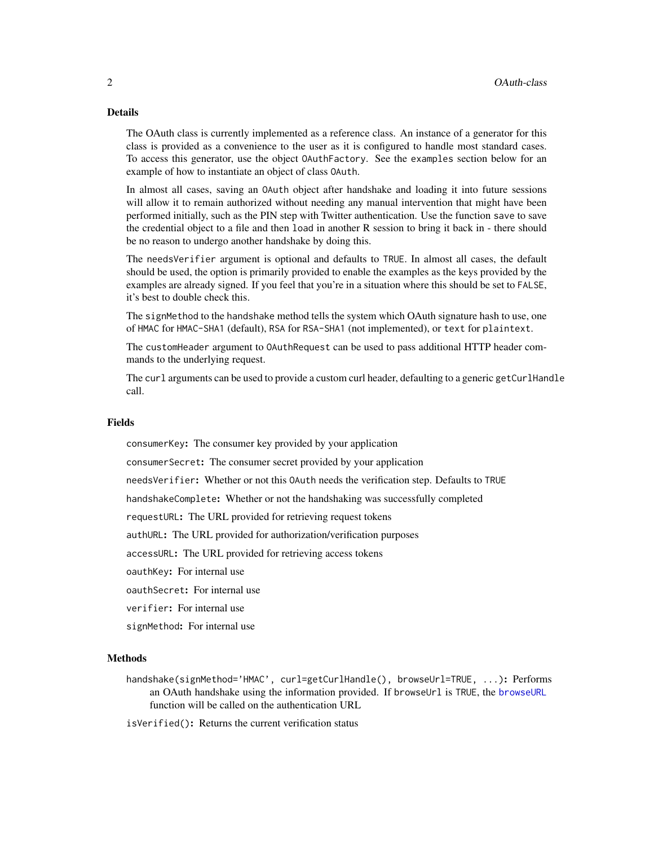#### <span id="page-1-0"></span>Details

The OAuth class is currently implemented as a reference class. An instance of a generator for this class is provided as a convenience to the user as it is configured to handle most standard cases. To access this generator, use the object OAuthFactory. See the examples section below for an example of how to instantiate an object of class OAuth.

In almost all cases, saving an OAuth object after handshake and loading it into future sessions will allow it to remain authorized without needing any manual intervention that might have been performed initially, such as the PIN step with Twitter authentication. Use the function save to save the credential object to a file and then load in another R session to bring it back in - there should be no reason to undergo another handshake by doing this.

The needsVerifier argument is optional and defaults to TRUE. In almost all cases, the default should be used, the option is primarily provided to enable the examples as the keys provided by the examples are already signed. If you feel that you're in a situation where this should be set to FALSE, it's best to double check this.

The signMethod to the handshake method tells the system which OAuth signature hash to use, one of HMAC for HMAC-SHA1 (default), RSA for RSA-SHA1 (not implemented), or text for plaintext.

The customHeader argument to OAuthRequest can be used to pass additional HTTP header commands to the underlying request.

The curl arguments can be used to provide a custom curl header, defaulting to a generic getCurlHandle call.

#### Fields

consumerKey: The consumer key provided by your application

consumerSecret: The consumer secret provided by your application

needsVerifier: Whether or not this OAuth needs the verification step. Defaults to TRUE

handshakeComplete: Whether or not the handshaking was successfully completed

requestURL: The URL provided for retrieving request tokens

authURL: The URL provided for authorization/verification purposes

accessURL: The URL provided for retrieving access tokens

oauthKey: For internal use

oauthSecret: For internal use

verifier: For internal use

signMethod: For internal use

#### **Methods**

handshake(signMethod='HMAC', curl=getCurlHandle(), browseUrl=TRUE, ...): Performs an OAuth handshake using the information provided. If browseUrl is TRUE, the [browseURL](#page-0-1) function will be called on the authentication URL

isVerified(): Returns the current verification status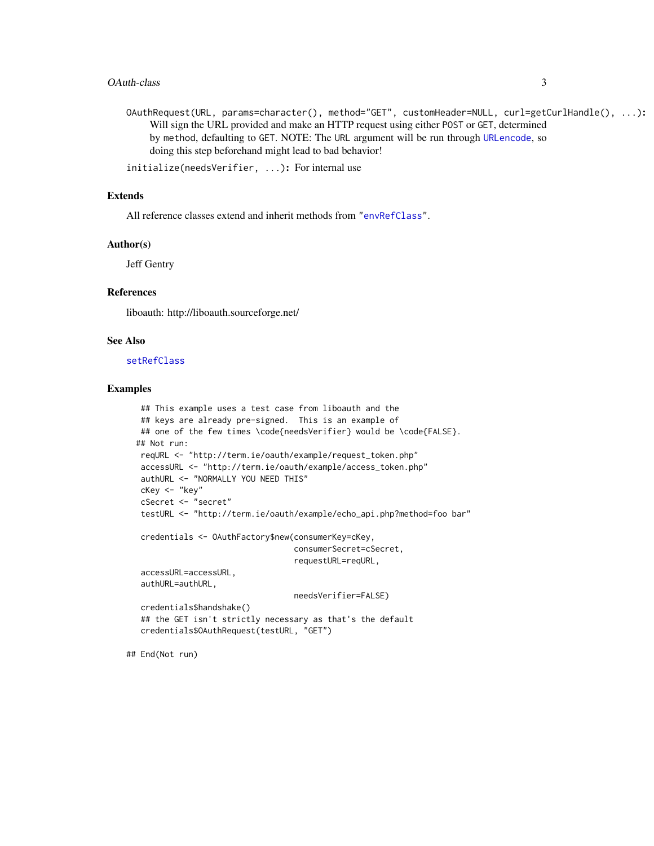<span id="page-2-0"></span>OAuthRequest(URL, params=character(), method="GET", customHeader=NULL, curl=getCurlHandle(), ...): Will sign the URL provided and make an HTTP request using either POST or GET, determined by method, defaulting to GET. NOTE: The URL argument will be run through [URLencode](#page-0-1), so doing this step beforehand might lead to bad behavior!

```
initialize(needsVerifier, ...): For internal use
```
#### Extends

All reference classes extend and inherit methods from ["envRefClass"](#page-0-1).

#### Author(s)

Jeff Gentry

#### References

liboauth: http://liboauth.sourceforge.net/

#### See Also

[setRefClass](#page-0-1)

#### Examples

```
## This example uses a test case from liboauth and the
 ## keys are already pre-signed. This is an example of
 ## one of the few times \code{needsVerifier} would be \code{FALSE}.
## Not run:
 reqURL <- "http://term.ie/oauth/example/request_token.php"
 accessURL <- "http://term.ie/oauth/example/access_token.php"
 authURL <- "NORMALLY YOU NEED THIS"
 cKey <- "key"
 cSecret <- "secret"
 testURL <- "http://term.ie/oauth/example/echo_api.php?method=foo bar"
 credentials <- OAuthFactory$new(consumerKey=cKey,
                                 consumerSecret=cSecret,
                                 requestURL=reqURL,
 accessURL=accessURL,
 authURL=authURL,
                                 needsVerifier=FALSE)
 credentials$handshake()
 ## the GET isn't strictly necessary as that's the default
 credentials$OAuthRequest(testURL, "GET")
```
## End(Not run)